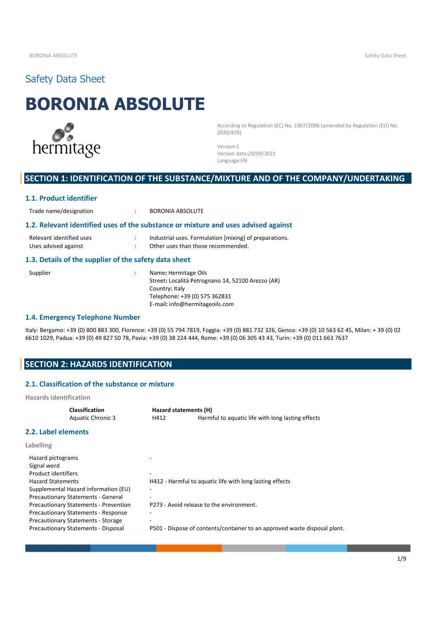# Safety Data Sheet

# **BORONIA ABSOLUTE**



According to Regulation (EC) No. 1907/2006 (amended by Regulation (EU) No. 2020/878)

Version:1 Version date:29/09/2021 Language:EN

# **SECTION 1: IDENTIFICATION OF THE SUBSTANCE/MIXTURE AND OF THE COMPANY/UNDERTAKING**

#### **1.1. Product identifier**

Trade name/designation : BORONIA ABSOLUTE

#### **1.2. Relevant identified uses of the substance or mixture and uses advised against**

| Relevant identified uses | Industrial uses. Formulation [mixing] of preparations. |
|--------------------------|--------------------------------------------------------|
| Uses advised against     | Other uses than those recommended.                     |

### **1.3. Details of the supplier of the safety data sheet**

| Supplier | Name: Hermitage Oils                              |  |
|----------|---------------------------------------------------|--|
|          | Street: Località Petrognano 14, 52100 Arezzo (AR) |  |
|          | Country: Italy                                    |  |
|          | Telephone: +39 (0) 575 362831                     |  |
|          | E-mail: info@hermitageoils.com                    |  |

#### **1.4. Emergency Telephone Number**

Italy: Bergamo: +39 (0) 800 883 300, Florence: +39 (0) 55 794 7819, Foggia: +39 (0) 881 732 326, Genoa: +39 (0) 10 563 62 45, Milan: + 39 (0) 02 6610 1029, Padua: +39 (0) 49 827 50 78, Pavia: +39 (0) 38 224 444, Rome: +39 (0) 06 305 43 43, Turin: +39 (0) 011 663 7637

# **SECTION 2: HAZARDS IDENTIFICATION**

### **2.1. Classification of the substance or mixture**

**Hazards identification** 

| <b>Classification</b>                        |      | Hazard statements (H)                                                     |  |  |
|----------------------------------------------|------|---------------------------------------------------------------------------|--|--|
| <b>Aquatic Chronic 3</b>                     | H412 | Harmful to aquatic life with long lasting effects                         |  |  |
| <b>2.2. Label elements</b>                   |      |                                                                           |  |  |
| <b>Labelling</b>                             |      |                                                                           |  |  |
| Hazard pictograms                            |      |                                                                           |  |  |
| Signal word                                  |      |                                                                           |  |  |
| Product identifiers                          | -    |                                                                           |  |  |
| <b>Hazard Statements</b>                     |      | H412 - Harmful to aguatic life with long lasting effects                  |  |  |
| Supplemental Hazard information (EU)         |      |                                                                           |  |  |
| <b>Precautionary Statements - General</b>    |      |                                                                           |  |  |
| <b>Precautionary Statements - Prevention</b> |      | P273 - Avoid release to the environment.                                  |  |  |
| <b>Precautionary Statements - Response</b>   |      |                                                                           |  |  |
| <b>Precautionary Statements - Storage</b>    |      |                                                                           |  |  |
| Precautionary Statements - Disposal          |      | P501 - Dispose of contents/container to an approved waste disposal plant. |  |  |
|                                              |      |                                                                           |  |  |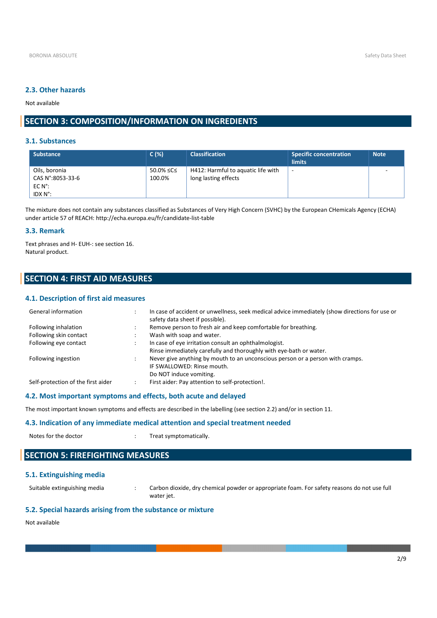#### **2.3. Other hazards**

Not available

# **SECTION 3: COMPOSITION/INFORMATION ON INGREDIENTS**

#### **3.1. Substances**

| <b>Substance</b>                  | C(%)                | <b>Classification</b>                                      | <b>Specific concentration</b><br><b>limits</b> | <b>Note</b> |
|-----------------------------------|---------------------|------------------------------------------------------------|------------------------------------------------|-------------|
| Oils, boronia<br>CAS N°:8053-33-6 | 50.0% ≤C≤<br>100.0% | H412: Harmful to aguatic life with<br>long lasting effects | $\overline{\phantom{a}}$                       |             |
| $EC N^{\circ}$ :<br>IDX N°:       |                     |                                                            |                                                |             |

The mixture does not contain any substances classified as Substances of Very High Concern (SVHC) by the European CHemicals Agency (ECHA) under article 57 of REACH: http://echa.europa.eu/fr/candidate-list-table

#### **3.3. Remark**

Text phrases and H- EUH-: see section 16. Natural product.

# **SECTION 4: FIRST AID MEASURES**

#### **4.1. Description of first aid measures**

| General information                | In case of accident or unwellness, seek medical advice immediately (show directions for use or<br>safety data sheet if possible). |
|------------------------------------|-----------------------------------------------------------------------------------------------------------------------------------|
| Following inhalation               | Remove person to fresh air and keep comfortable for breathing.                                                                    |
| Following skin contact             | Wash with soap and water.                                                                                                         |
| Following eye contact              | In case of eye irritation consult an ophthalmologist.                                                                             |
|                                    | Rinse immediately carefully and thoroughly with eye-bath or water.                                                                |
| Following ingestion                | Never give anything by mouth to an unconscious person or a person with cramps.                                                    |
|                                    | IF SWALLOWED: Rinse mouth.                                                                                                        |
|                                    | Do NOT induce vomiting.                                                                                                           |
| Self-protection of the first aider | First aider: Pay attention to self-protection!.                                                                                   |
|                                    |                                                                                                                                   |

### **4.2. Most important symptoms and effects, both acute and delayed**

The most important known symptoms and effects are described in the labelling (see section 2.2) and/or in section 11.

#### **4.3. Indication of any immediate medical attention and special treatment needed**

Notes for the doctor  $\cdot$   $\cdot$   $\cdot$  Treat symptomatically.

# **SECTION 5: FIREFIGHTING MEASURES**

#### **5.1. Extinguishing media**

Suitable extinguishing media : Carbon dioxide, dry chemical powder or appropriate foam. For safety reasons do not use full water jet.

### **5.2. Special hazards arising from the substance or mixture**

Not available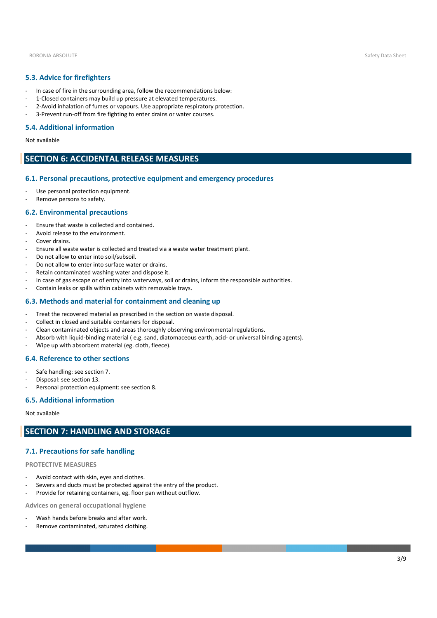BORONIA ABSOLUTE Safety Data Sheet Safety Data Sheet Safety Data Sheet Safety Data Sheet Safety Data Sheet Safety Data Sheet Safety Data Sheet Safety Data Sheet Safety Data Sheet Safety Data Sheet Safety Data Sheet Safety

### **5.3. Advice for firefighters**

- In case of fire in the surrounding area, follow the recommendations below:
- 1-Closed containers may build up pressure at elevated temperatures.
- 2-Avoid inhalation of fumes or vapours. Use appropriate respiratory protection.
- 3-Prevent run-off from fire fighting to enter drains or water courses.

#### **5.4. Additional information**

Not available

# **SECTION 6: ACCIDENTAL RELEASE MEASURES**

#### **6.1. Personal precautions, protective equipment and emergency procedures**

- Use personal protection equipment.
- Remove persons to safety.

#### **6.2. Environmental precautions**

- Ensure that waste is collected and contained.
- Avoid release to the environment.
- Cover drains.
- Ensure all waste water is collected and treated via a waste water treatment plant.
- Do not allow to enter into soil/subsoil.
- Do not allow to enter into surface water or drains.
- Retain contaminated washing water and dispose it.
- In case of gas escape or of entry into waterways, soil or drains, inform the responsible authorities.
- Contain leaks or spills within cabinets with removable trays.

#### **6.3. Methods and material for containment and cleaning up**

- Treat the recovered material as prescribed in the section on waste disposal.
- Collect in closed and suitable containers for disposal.
- Clean contaminated objects and areas thoroughly observing environmental regulations.
- Absorb with liquid-binding material (e.g. sand, diatomaceous earth, acid- or universal binding agents).
- Wipe up with absorbent material (eg. cloth, fleece).

#### **6.4. Reference to other sections**

- Safe handling: see section 7.
- Disposal: see section 13.
- Personal protection equipment: see section 8.

#### **6.5. Additional information**

#### Not available

# **SECTION 7: HANDLING AND STORAGE**

#### **7.1. Precautions for safe handling**

#### **PROTECTIVE MEASURES**

- Avoid contact with skin, eyes and clothes.
- Sewers and ducts must be protected against the entry of the product.
- Provide for retaining containers, eg. floor pan without outflow.

**Advices on general occupational hygiene**

- Wash hands before breaks and after work.
- Remove contaminated, saturated clothing.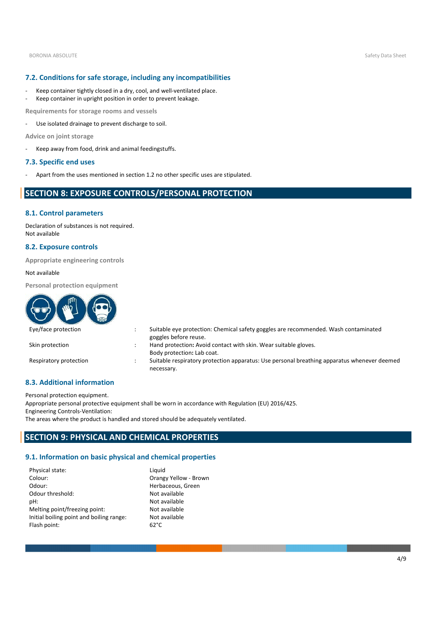#### **7.2. Conditions for safe storage, including any incompatibilities**

- Keep container tightly closed in a dry, cool, and well-ventilated place.
- Keep container in upright position in order to prevent leakage.

**Requirements for storage rooms and vessels**

- Use isolated drainage to prevent discharge to soil.

**Advice on joint storage**

- Keep away from food, drink and animal feedingstuffs.

#### **7.3. Specific end uses**

- Apart from the uses mentioned in section 1.2 no other specific uses are stipulated.

# **SECTION 8: EXPOSURE CONTROLS/PERSONAL PROTECTION**

#### **8.1. Control parameters**

Declaration of substances is not required. Not available

#### **8.2. Exposure controls**

**Appropriate engineering controls** 

#### Not available

**Personal protection equipment** 

| GUE                    |                                                                                                              |
|------------------------|--------------------------------------------------------------------------------------------------------------|
| Eye/face protection    | Suitable eye protection: Chemical safety goggles are recommended. Wash contaminated<br>goggles before reuse. |
| Skin protection        | Hand protection: Avoid contact with skin. Wear suitable gloves.<br>Body protection: Lab coat.                |
| Respiratory protection | Suitable respiratory protection apparatus: Use personal breathing apparatus whenever deemed<br>necessary.    |

#### **8.3. Additional information**

Personal protection equipment.

Appropriate personal protective equipment shall be worn in accordance with Regulation (EU) 2016/425. Engineering Controls-Ventilation:

The areas where the product is handled and stored should be adequately ventilated.

# **SECTION 9: PHYSICAL AND CHEMICAL PROPERTIES**

#### **9.1. Information on basic physical and chemical properties**

| Physical state:                          | Liquid                |
|------------------------------------------|-----------------------|
| Colour:                                  | Orangy Yellow - Brown |
| Odour:                                   | Herbaceous, Green     |
| Odour threshold:                         | Not available         |
| pH:                                      | Not available         |
| Melting point/freezing point:            | Not available         |
| Initial boiling point and boiling range: | Not available         |
| Flash point:                             | $62^{\circ}$ C        |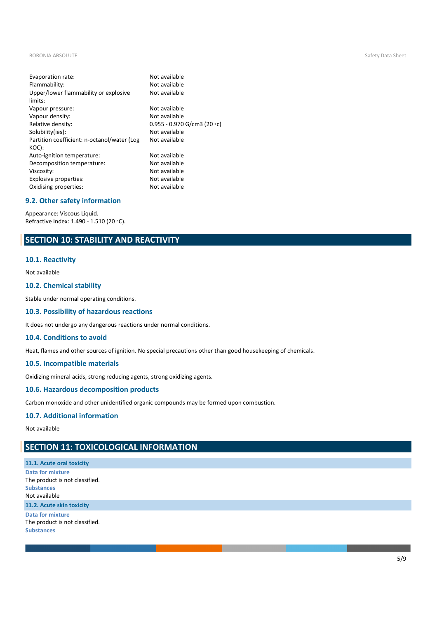BORONIA ABSOLUTE Safety Data Sheet Safety Data Sheet Safety Data Sheet Safety Data Sheet Safety Data Sheet Safety Data Sheet Safety Data Sheet Safety Data Sheet Safety Data Sheet Safety Data Sheet Safety Data Sheet Safety

| Evaporation rate:<br>Flammability:<br>Upper/lower flammability or explosive<br>limits: | Not available<br>Not available<br>Not available |
|----------------------------------------------------------------------------------------|-------------------------------------------------|
| Vapour pressure:                                                                       | Not available                                   |
| Vapour density:                                                                        | Not available                                   |
| Relative density:                                                                      | 0.955 - 0.970 G/cm3 (20 $\circ$ c)              |
| Solubility(ies):                                                                       | Not available                                   |
| Partition coefficient: n-octanol/water (Log<br>KOC):                                   | Not available                                   |
| Auto-ignition temperature:                                                             | Not available                                   |
| Decomposition temperature:                                                             | Not available                                   |
| Viscosity:                                                                             | Not available                                   |
| Explosive properties:                                                                  | Not available                                   |
| Oxidising properties:                                                                  | Not available                                   |
|                                                                                        |                                                 |

### **9.2. Other safety information**

Appearance: Viscous Liquid. Refractive Index: 1.490 - 1.510 (20 ◦C).

# **SECTION 10: STABILITY AND REACTIVITY**

#### **10.1. Reactivity**

#### Not available

#### **10.2. Chemical stability**

Stable under normal operating conditions.

#### **10.3. Possibility of hazardous reactions**

It does not undergo any dangerous reactions under normal conditions.

#### **10.4. Conditions to avoid**

Heat, flames and other sources of ignition. No special precautions other than good housekeeping of chemicals.

#### **10.5. Incompatible materials**

Oxidizing mineral acids, strong reducing agents, strong oxidizing agents.

#### **10.6. Hazardous decomposition products**

Carbon monoxide and other unidentified organic compounds may be formed upon combustion.

#### **10.7. Additional information**

Not available

# **SECTION 11: TOXICOLOGICAL INFORMATION**

**11.1. Acute oral toxicity Data for mixture** The product is not classified. **Substances** Not available **11.2. Acute skin toxicity Data for mixture** The product is not classified. **Substances**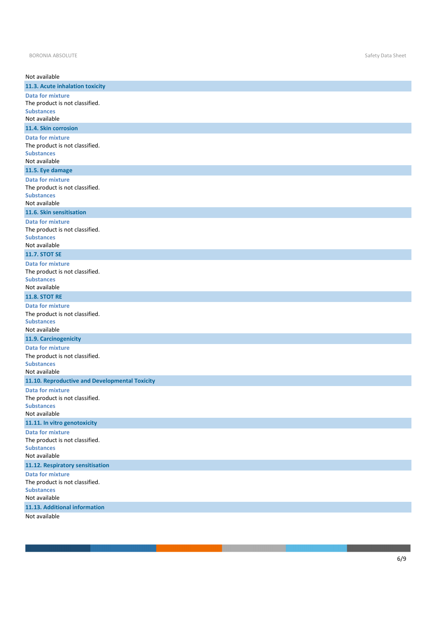| Not available                                                                                   |
|-------------------------------------------------------------------------------------------------|
| 11.3. Acute inhalation toxicity                                                                 |
| <b>Data for mixture</b><br>The product is not classified.<br><b>Substances</b><br>Not available |
| 11.4. Skin corrosion                                                                            |
| <b>Data for mixture</b><br>The product is not classified.<br><b>Substances</b><br>Not available |
| 11.5. Eye damage                                                                                |
| <b>Data for mixture</b><br>The product is not classified.<br><b>Substances</b><br>Not available |
| 11.6. Skin sensitisation                                                                        |
| <b>Data for mixture</b><br>The product is not classified.<br><b>Substances</b><br>Not available |
| <b>11.7. STOT SE</b>                                                                            |
| <b>Data for mixture</b><br>The product is not classified.<br><b>Substances</b><br>Not available |
| <b>11.8. STOT RE</b>                                                                            |
| <b>Data for mixture</b><br>The product is not classified.<br><b>Substances</b><br>Not available |
| 11.9. Carcinogenicity                                                                           |
| <b>Data for mixture</b><br>The product is not classified.<br><b>Substances</b><br>Not available |
| 11.10. Reproductive and Developmental Toxicity                                                  |
| <b>Data for mixture</b><br>The product is not classified.<br><b>Substances</b><br>Not available |
| 11.11. In vitro genotoxicity                                                                    |
| <b>Data for mixture</b><br>The product is not classified.<br><b>Substances</b><br>Not available |
| 11.12. Respiratory sensitisation                                                                |
| <b>Data for mixture</b><br>The product is not classified.<br><b>Substances</b><br>Not available |
| 11.13. Additional information                                                                   |
| Not available                                                                                   |

**The Contract of Street**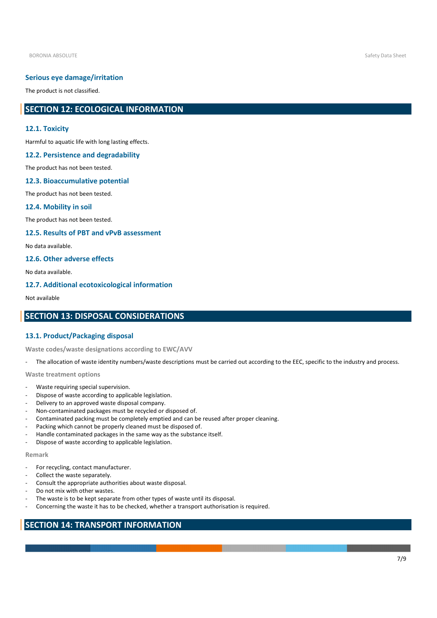#### **Serious eye damage/irritation**

The product is not classified.

# **SECTION 12: ECOLOGICAL INFORMATION**

#### **12.1. Toxicity**

Harmful to aquatic life with long lasting effects.

#### **12.2. Persistence and degradability**

The product has not been tested.

#### **12.3. Bioaccumulative potential**

The product has not been tested.

#### **12.4. Mobility in soil**

The product has not been tested.

#### **12.5. Results of PBT and vPvB assessment**

No data available.

#### **12.6. Other adverse effects**

No data available.

#### **12.7. Additional ecotoxicological information**

Not available

# **SECTION 13: DISPOSAL CONSIDERATIONS**

#### **13.1. Product/Packaging disposal**

**Waste codes/waste designations according to EWC/AVV**

The allocation of waste identity numbers/waste descriptions must be carried out according to the EEC, specific to the industry and process.

**Waste treatment options**

- Waste requiring special supervision.
- Dispose of waste according to applicable legislation.
- Delivery to an approved waste disposal company.
- Non-contaminated packages must be recycled or disposed of.
- Contaminated packing must be completely emptied and can be reused after proper cleaning.
- Packing which cannot be properly cleaned must be disposed of.
- Handle contaminated packages in the same way as the substance itself.
- Dispose of waste according to applicable legislation.

#### **Remark**

- For recycling, contact manufacturer.
- Collect the waste separately.
- Consult the appropriate authorities about waste disposal.
- Do not mix with other wastes.
- The waste is to be kept separate from other types of waste until its disposal.
- Concerning the waste it has to be checked, whether a transport authorisation is required.

# **SECTION 14: TRANSPORT INFORMATION**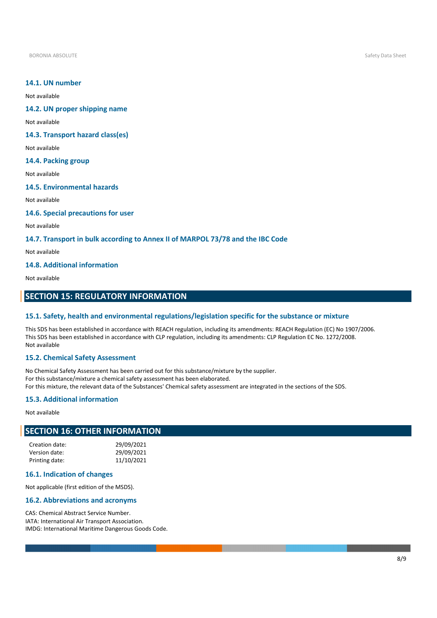BORONIA ABSOLUTE Safety Data Sheet Safety Data Sheet Safety Data Sheet Safety Data Sheet Safety Data Sheet Safety Data Sheet Safety Data Sheet Safety Data Sheet Safety Data Sheet Safety Data Sheet Safety Data Sheet Safety

#### **14.1. UN number**

Not available

### **14.2. UN proper shipping name**

Not available

#### **14.3. Transport hazard class(es)**

Not available

# **14.4. Packing group**

Not available

#### **14.5. Environmental hazards**

Not available

#### **14.6. Special precautions for user**

Not available

#### **14.7. Transport in bulk according to Annex II of MARPOL 73/78 and the IBC Code**

Not available

#### **14.8. Additional information**

Not available

# **SECTION 15: REGULATORY INFORMATION**

#### **15.1. Safety, health and environmental regulations/legislation specific for the substance or mixture**

This SDS has been established in accordance with REACH regulation, including its amendments: REACH Regulation (EC) No 1907/2006. This SDS has been established in accordance with CLP regulation, including its amendments: CLP Regulation EC No. 1272/2008. Not available

#### **15.2. Chemical Safety Assessment**

No Chemical Safety Assessment has been carried out for this substance/mixture by the supplier. For this substance/mixture a chemical safety assessment has been elaborated. For this mixture, the relevant data of the Substances' Chemical safety assessment are integrated in the sections of the SDS.

#### **15.3. Additional information**

Not available

# **SECTION 16: OTHER INFORMATION**

| Creation date: | 29/09/2021 |
|----------------|------------|
| Version date:  | 29/09/2021 |
| Printing date: | 11/10/2021 |

#### **16.1. Indication of changes**

Not applicable (first edition of the MSDS).

#### **16.2. Abbreviations and acronyms**

CAS: Chemical Abstract Service Number. IATA: International Air Transport Association. IMDG: International Maritime Dangerous Goods Code.